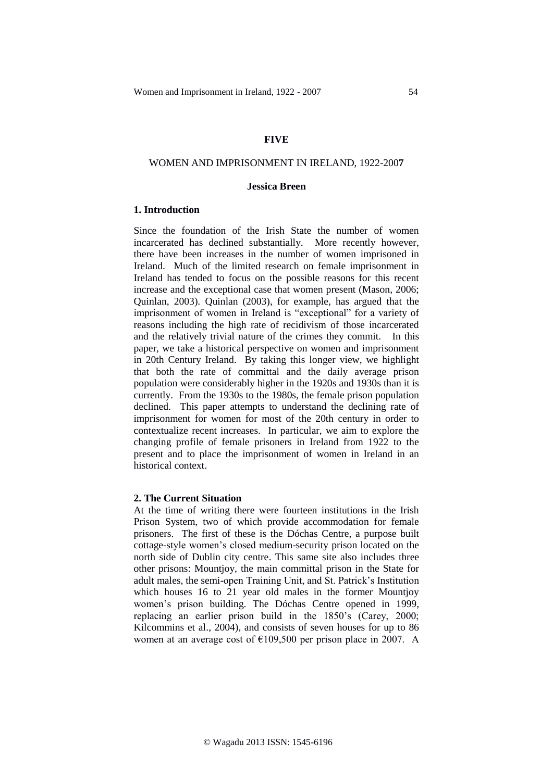# **FIVE**

# WOMEN AND IMPRISONMENT IN IRELAND, 1922-200**7**

# **Jessica Breen**

### **1. Introduction**

Since the foundation of the Irish State the number of women incarcerated has declined substantially. More recently however, there have been increases in the number of women imprisoned in Ireland. Much of the limited research on female imprisonment in Ireland has tended to focus on the possible reasons for this recent increase and the exceptional case that women present (Mason, 2006; Quinlan, 2003). Quinlan (2003), for example, has argued that the imprisonment of women in Ireland is "exceptional" for a variety of reasons including the high rate of recidivism of those incarcerated and the relatively trivial nature of the crimes they commit. In this paper, we take a historical perspective on women and imprisonment in 20th Century Ireland. By taking this longer view, we highlight that both the rate of committal and the daily average prison population were considerably higher in the 1920s and 1930s than it is currently. From the 1930s to the 1980s, the female prison population declined. This paper attempts to understand the declining rate of imprisonment for women for most of the 20th century in order to contextualize recent increases. In particular, we aim to explore the changing profile of female prisoners in Ireland from 1922 to the present and to place the imprisonment of women in Ireland in an historical context.

# **2. The Current Situation**

At the time of writing there were fourteen institutions in the Irish Prison System, two of which provide accommodation for female prisoners. The first of these is the Dóchas Centre, a purpose built cottage-style women's closed medium-security prison located on the north side of Dublin city centre. This same site also includes three other prisons: Mountjoy, the main committal prison in the State for adult males, the semi-open Training Unit, and St. Patrick's Institution which houses 16 to 21 year old males in the former Mountjoy women's prison building. The Dóchas Centre opened in 1999, replacing an earlier prison build in the 1850's (Carey, 2000; Kilcommins et al., 2004), and consists of seven houses for up to 86 women at an average cost of  $\epsilon$ 109,500 per prison place in 2007. A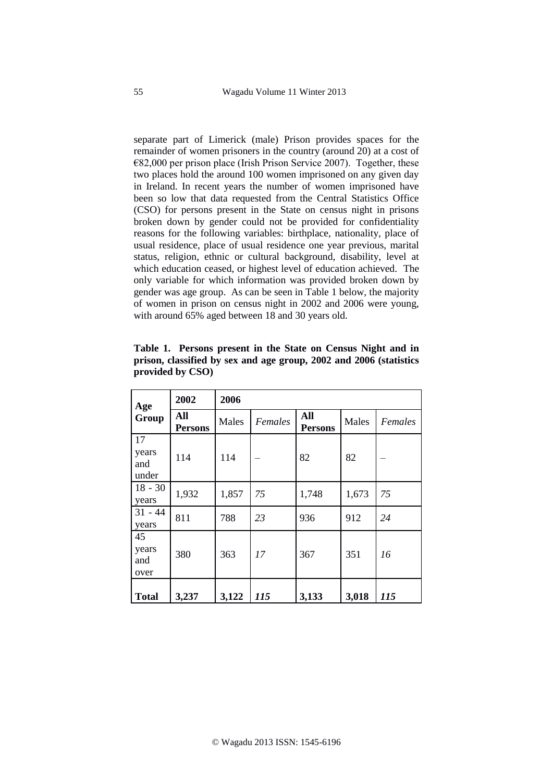separate part of Limerick (male) Prison provides spaces for the remainder of women prisoners in the country (around 20) at a cost of  $€82,000$  per prison place (Irish Prison Service 2007). Together, these two places hold the around 100 women imprisoned on any given day in Ireland. In recent years the number of women imprisoned have been so low that data requested from the Central Statistics Office (CSO) for persons present in the State on census night in prisons broken down by gender could not be provided for confidentiality reasons for the following variables: birthplace, nationality, place of usual residence, place of usual residence one year previous, marital status, religion, ethnic or cultural background, disability, level at which education ceased, or highest level of education achieved. The only variable for which information was provided broken down by gender was age group. As can be seen in Table 1 below, the majority of women in prison on census night in 2002 and 2006 were young, with around 65% aged between 18 and 30 years old.

| Age<br>Group                | 2002                  | 2006  |         |                       |       |         |
|-----------------------------|-----------------------|-------|---------|-----------------------|-------|---------|
|                             | All<br><b>Persons</b> | Males | Females | All<br><b>Persons</b> | Males | Females |
| 17<br>years<br>and<br>under | 114                   | 114   |         | 82                    | 82    |         |
| $18 - 30$<br>years          | 1,932                 | 1,857 | 75      | 1,748                 | 1,673 | 75      |
| $31 - 44$<br>years          | 811                   | 788   | 23      | 936                   | 912   | 24      |
| 45<br>years<br>and<br>over  | 380                   | 363   | 17      | 367                   | 351   | 16      |
| <b>Total</b>                | 3,237                 | 3,122 | 115     | 3,133                 | 3,018 | 115     |

**Table 1. Persons present in the State on Census Night and in prison, classified by sex and age group, 2002 and 2006 (statistics provided by CSO)**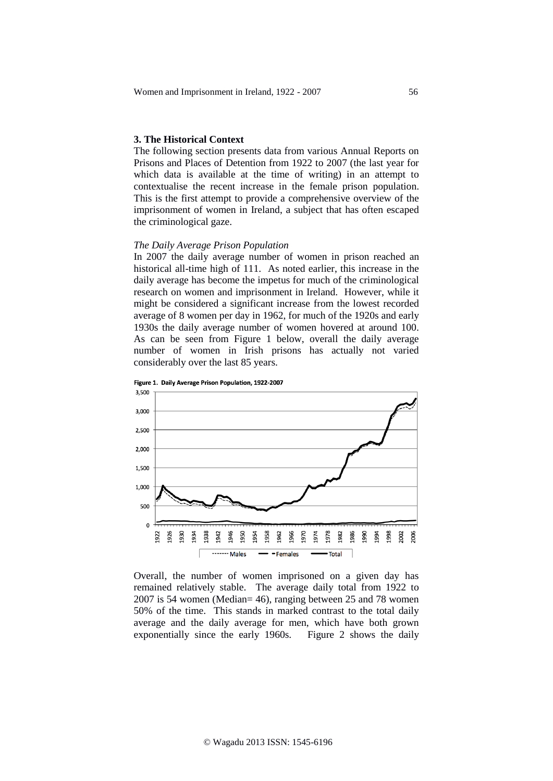# **3. The Historical Context**

The following section presents data from various Annual Reports on Prisons and Places of Detention from 1922 to 2007 (the last year for which data is available at the time of writing) in an attempt to contextualise the recent increase in the female prison population. This is the first attempt to provide a comprehensive overview of the imprisonment of women in Ireland, a subject that has often escaped the criminological gaze.

# *The Daily Average Prison Population*

In 2007 the daily average number of women in prison reached an historical all-time high of 111. As noted earlier, this increase in the daily average has become the impetus for much of the criminological research on women and imprisonment in Ireland. However, while it might be considered a significant increase from the lowest recorded average of 8 women per day in 1962, for much of the 1920s and early 1930s the daily average number of women hovered at around 100. As can be seen from Figure 1 below, overall the daily average number of women in Irish prisons has actually not varied considerably over the last 85 years.





Overall, the number of women imprisoned on a given day has remained relatively stable. The average daily total from 1922 to 2007 is 54 women (Median= 46), ranging between 25 and 78 women 50% of the time. This stands in marked contrast to the total daily average and the daily average for men, which have both grown exponentially since the early 1960s. Figure 2 shows the daily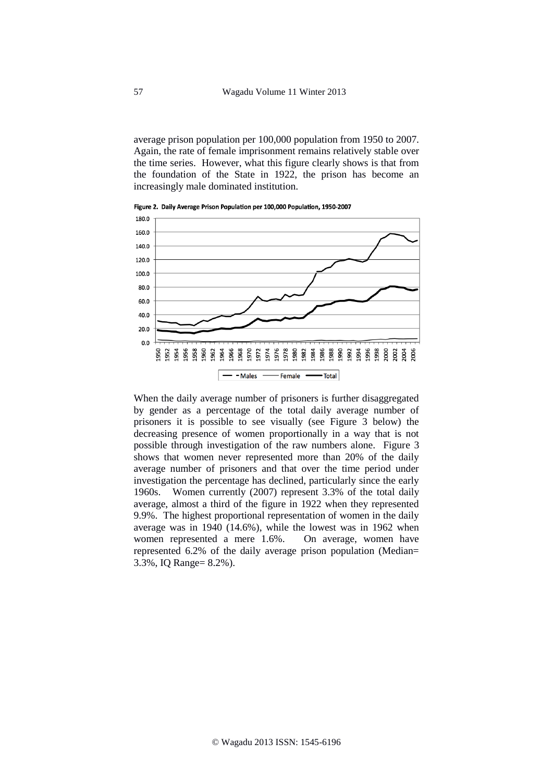average prison population per 100,000 population from 1950 to 2007. Again, the rate of female imprisonment remains relatively stable over the time series. However, what this figure clearly shows is that from the foundation of the State in 1922, the prison has become an increasingly male dominated institution.



Figure 2. Daily Average Prison Population per 100,000 Population, 1950-2007

When the daily average number of prisoners is further disaggregated by gender as a percentage of the total daily average number of prisoners it is possible to see visually (see Figure 3 below) the decreasing presence of women proportionally in a way that is not possible through investigation of the raw numbers alone. Figure 3 shows that women never represented more than 20% of the daily average number of prisoners and that over the time period under investigation the percentage has declined, particularly since the early 1960s. Women currently (2007) represent 3.3% of the total daily average, almost a third of the figure in 1922 when they represented 9.9%. The highest proportional representation of women in the daily average was in 1940 (14.6%), while the lowest was in 1962 when women represented a mere 1.6%. On average, women have represented 6.2% of the daily average prison population (Median= 3.3%, IQ Range= 8.2%).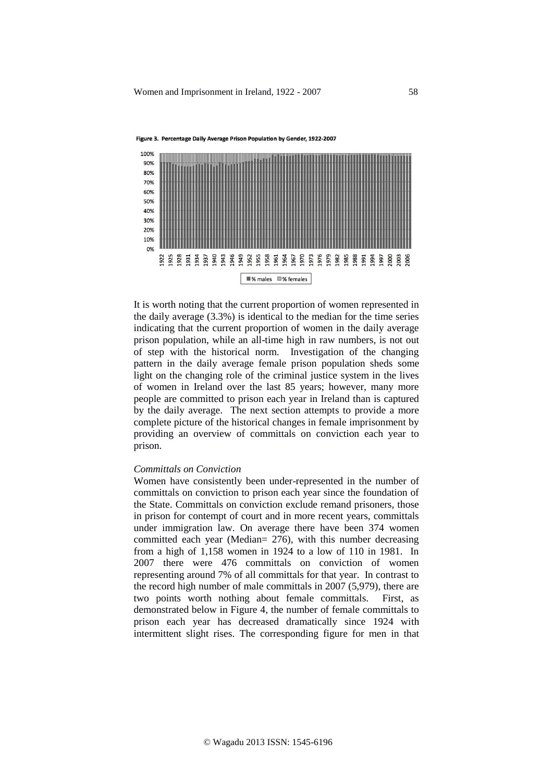

Figure 3. Percentage Daily Average Prison Population by Gender, 1922-2007

It is worth noting that the current proportion of women represented in the daily average (3.3%) is identical to the median for the time series indicating that the current proportion of women in the daily average prison population, while an all-time high in raw numbers, is not out of step with the historical norm. Investigation of the changing pattern in the daily average female prison population sheds some light on the changing role of the criminal justice system in the lives of women in Ireland over the last 85 years; however, many more people are committed to prison each year in Ireland than is captured by the daily average. The next section attempts to provide a more complete picture of the historical changes in female imprisonment by providing an overview of committals on conviction each year to prison.

### *Committals on Conviction*

Women have consistently been under-represented in the number of committals on conviction to prison each year since the foundation of the State. Committals on conviction exclude remand prisoners, those in prison for contempt of court and in more recent years, committals under immigration law. On average there have been 374 women committed each year (Median= 276), with this number decreasing from a high of 1,158 women in 1924 to a low of 110 in 1981. In 2007 there were 476 committals on conviction of women representing around 7% of all committals for that year. In contrast to the record high number of male committals in 2007 (5,979), there are two points worth nothing about female committals. First, as demonstrated below in Figure 4, the number of female committals to prison each year has decreased dramatically since 1924 with intermittent slight rises. The corresponding figure for men in that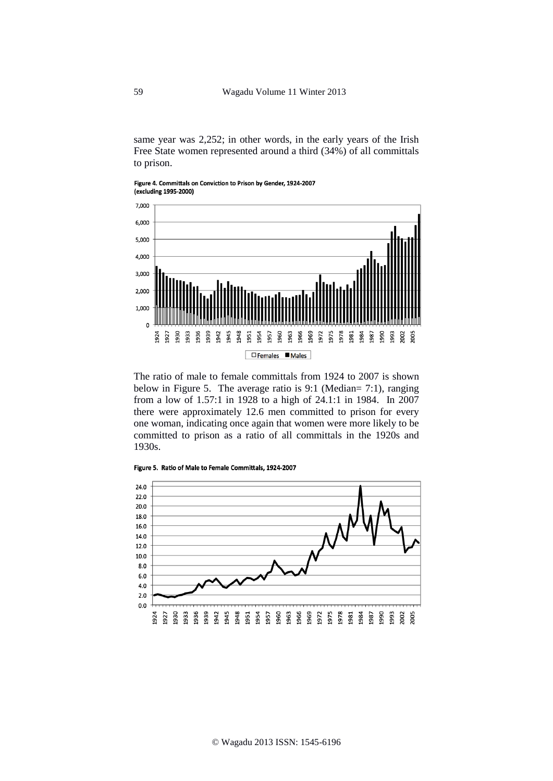same year was 2,252; in other words, in the early years of the Irish Free State women represented around a third (34%) of all committals to prison.

Figure 4. Committals on Conviction to Prison by Gender, 1924-2007 (excluding 1995-2000)



The ratio of male to female committals from 1924 to 2007 is shown below in Figure 5. The average ratio is 9:1 (Median= 7:1), ranging from a low of 1.57:1 in 1928 to a high of 24.1:1 in 1984. In 2007 there were approximately 12.6 men committed to prison for every one woman, indicating once again that women were more likely to be committed to prison as a ratio of all committals in the 1920s and 1930s.

Figure 5. Ratio of Male to Female Committals, 1924-2007

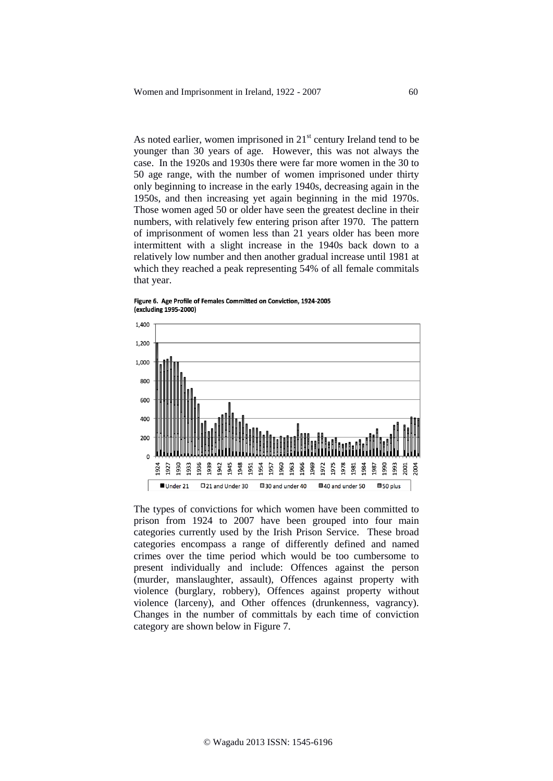As noted earlier, women imprisoned in  $21<sup>st</sup>$  century Ireland tend to be younger than 30 years of age. However, this was not always the case. In the 1920s and 1930s there were far more women in the 30 to 50 age range, with the number of women imprisoned under thirty only beginning to increase in the early 1940s, decreasing again in the 1950s, and then increasing yet again beginning in the mid 1970s. Those women aged 50 or older have seen the greatest decline in their numbers, with relatively few entering prison after 1970. The pattern of imprisonment of women less than 21 years older has been more intermittent with a slight increase in the 1940s back down to a relatively low number and then another gradual increase until 1981 at which they reached a peak representing 54% of all female commitals that year.

Figure 6. Age Profile of Females Committed on Conviction, 1924-2005 (excluding 1995-2000)



The types of convictions for which women have been committed to prison from 1924 to 2007 have been grouped into four main categories currently used by the Irish Prison Service. These broad categories encompass a range of differently defined and named crimes over the time period which would be too cumbersome to present individually and include: Offences against the person (murder, manslaughter, assault), Offences against property with violence (burglary, robbery), Offences against property without violence (larceny), and Other offences (drunkenness, vagrancy). Changes in the number of committals by each time of conviction category are shown below in Figure 7.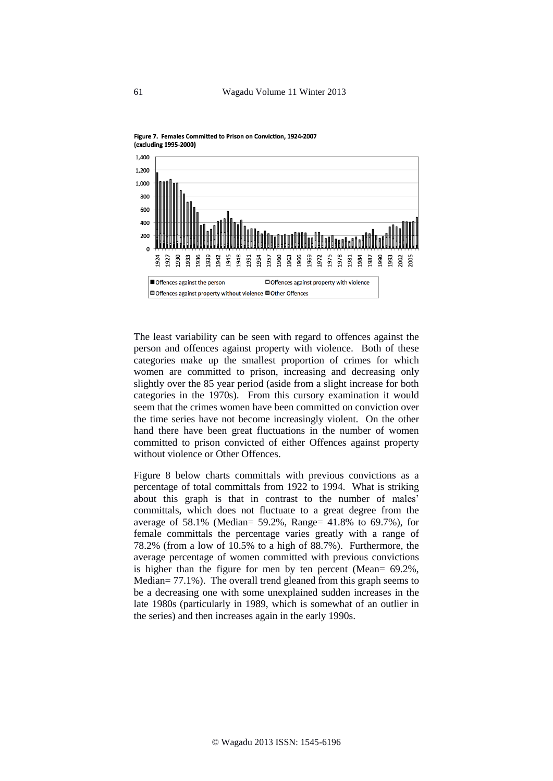



The least variability can be seen with regard to offences against the person and offences against property with violence. Both of these categories make up the smallest proportion of crimes for which women are committed to prison, increasing and decreasing only slightly over the 85 year period (aside from a slight increase for both categories in the 1970s). From this cursory examination it would seem that the crimes women have been committed on conviction over the time series have not become increasingly violent. On the other hand there have been great fluctuations in the number of women committed to prison convicted of either Offences against property without violence or Other Offences

Figure 8 below charts committals with previous convictions as a percentage of total committals from 1922 to 1994. What is striking about this graph is that in contrast to the number of males' committals, which does not fluctuate to a great degree from the average of 58.1% (Median= 59.2%, Range= 41.8% to 69.7%), for female committals the percentage varies greatly with a range of 78.2% (from a low of 10.5% to a high of 88.7%). Furthermore, the average percentage of women committed with previous convictions is higher than the figure for men by ten percent (Mean= 69.2%, Median= 77.1%). The overall trend gleaned from this graph seems to be a decreasing one with some unexplained sudden increases in the late 1980s (particularly in 1989, which is somewhat of an outlier in the series) and then increases again in the early 1990s.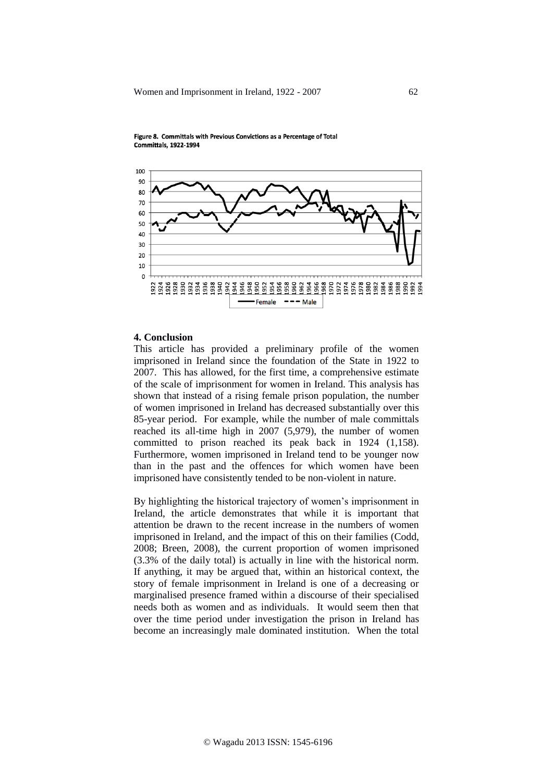



# **4. Conclusion**

This article has provided a preliminary profile of the women imprisoned in Ireland since the foundation of the State in 1922 to 2007. This has allowed, for the first time, a comprehensive estimate of the scale of imprisonment for women in Ireland. This analysis has shown that instead of a rising female prison population, the number of women imprisoned in Ireland has decreased substantially over this 85-year period. For example, while the number of male committals reached its all-time high in 2007 (5,979), the number of women committed to prison reached its peak back in 1924 (1,158). Furthermore, women imprisoned in Ireland tend to be younger now than in the past and the offences for which women have been imprisoned have consistently tended to be non-violent in nature.

By highlighting the historical trajectory of women's imprisonment in Ireland, the article demonstrates that while it is important that attention be drawn to the recent increase in the numbers of women imprisoned in Ireland, and the impact of this on their families (Codd, 2008; Breen, 2008), the current proportion of women imprisoned (3.3% of the daily total) is actually in line with the historical norm. If anything, it may be argued that, within an historical context, the story of female imprisonment in Ireland is one of a decreasing or marginalised presence framed within a discourse of their specialised needs both as women and as individuals. It would seem then that over the time period under investigation the prison in Ireland has become an increasingly male dominated institution. When the total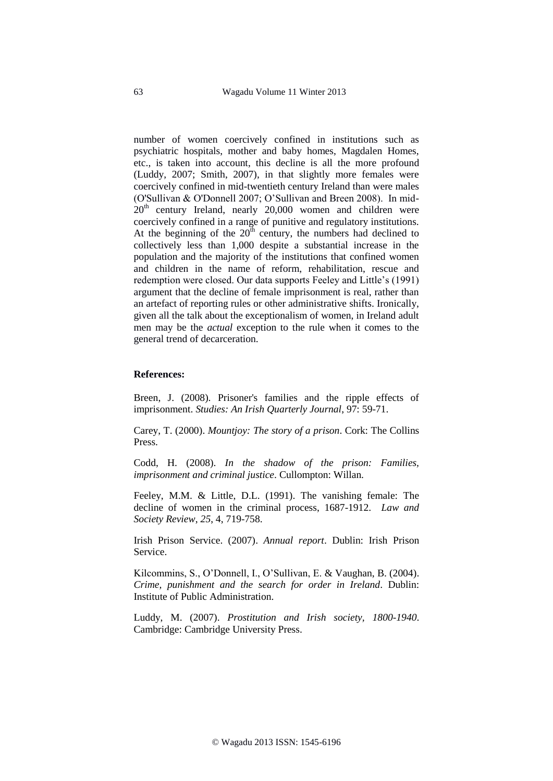number of women coercively confined in institutions such as psychiatric hospitals, mother and baby homes, Magdalen Homes, etc., is taken into account, this decline is all the more profound (Luddy, 2007; Smith, 2007), in that slightly more females were coercively confined in mid-twentieth century Ireland than were males (O'Sullivan & O'Donnell 2007; O'Sullivan and Breen 2008). In mid- $20<sup>th</sup>$  century Ireland, nearly  $20,000$  women and children were coercively confined in a range of punitive and regulatory institutions. At the beginning of the  $20<sup>th</sup>$  century, the numbers had declined to collectively less than 1,000 despite a substantial increase in the population and the majority of the institutions that confined women and children in the name of reform, rehabilitation, rescue and redemption were closed. Our data supports Feeley and Little's (1991) argument that the decline of female imprisonment is real, rather than an artefact of reporting rules or other administrative shifts. Ironically, given all the talk about the exceptionalism of women, in Ireland adult men may be the *actual* exception to the rule when it comes to the general trend of decarceration.

#### **References:**

Breen, J. (2008). Prisoner's families and the ripple effects of imprisonment. *Studies: An Irish Quarterly Journal*, 97: 59-71.

Carey, T. (2000). *Mountjoy: The story of a prison*. Cork: The Collins Press.

Codd, H. (2008). *In the shadow of the prison: Families, imprisonment and criminal justice*. Cullompton: Willan.

Feeley, M.M. & Little, D.L. (1991). The vanishing female: The decline of women in the criminal process, 1687-1912. *Law and Society Review*, *25*, 4, 719-758.

Irish Prison Service. (2007). *Annual report*. Dublin: Irish Prison Service.

Kilcommins, S., O'Donnell, I., O'Sullivan, E. & Vaughan, B. (2004). *Crime, punishment and the search for order in Ireland*. Dublin: Institute of Public Administration.

Luddy, M. (2007). *Prostitution and Irish society, 1800-1940*. Cambridge: Cambridge University Press.